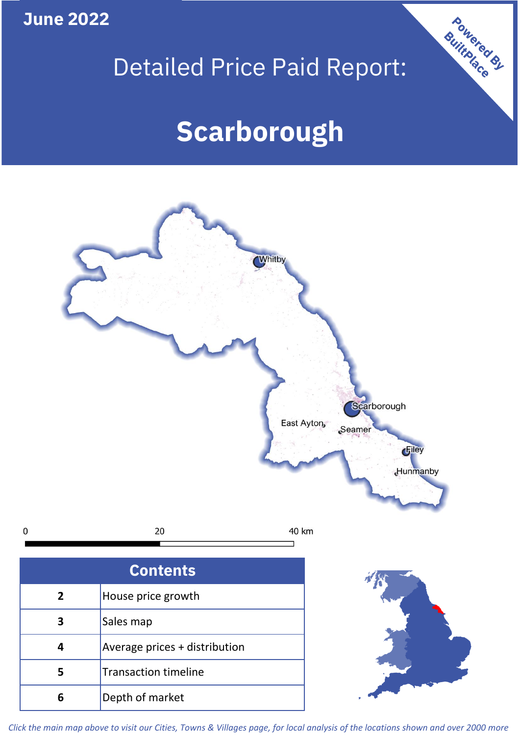**June 2022**

## Detailed Price Paid Report:

Powered By

# **Scarborough**



*Click the main map above to visit our Cities, Towns & Villages page, for local analysis of the locations shown and over 2000 more*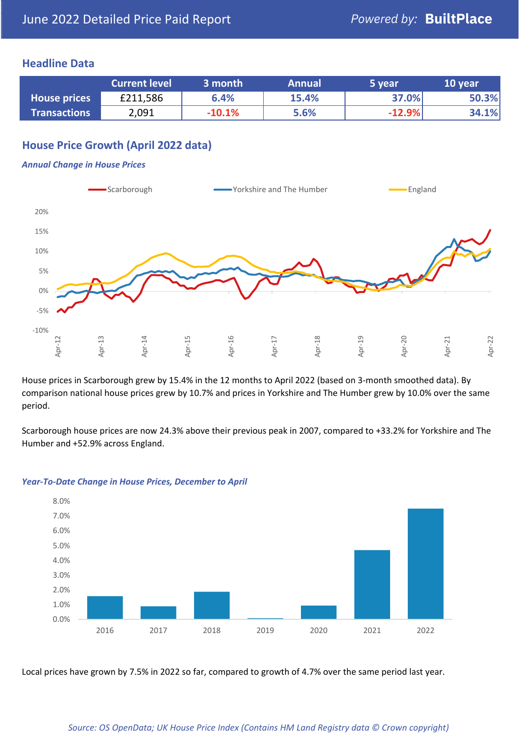#### **Headline Data**

|                     | <b>Current level</b> | 3 month  | <b>Annual</b> | 5 year   | 10 year |
|---------------------|----------------------|----------|---------------|----------|---------|
| <b>House prices</b> | £211,586             | 6.4%     | 15.4%         | 37.0%    | 50.3%   |
| <b>Transactions</b> | 2,091                | $-10.1%$ | 5.6%          | $-12.9%$ | 34.1%   |

## **House Price Growth (April 2022 data)**

#### *Annual Change in House Prices*



House prices in Scarborough grew by 15.4% in the 12 months to April 2022 (based on 3-month smoothed data). By comparison national house prices grew by 10.7% and prices in Yorkshire and The Humber grew by 10.0% over the same period.

Scarborough house prices are now 24.3% above their previous peak in 2007, compared to +33.2% for Yorkshire and The Humber and +52.9% across England.



#### *Year-To-Date Change in House Prices, December to April*

Local prices have grown by 7.5% in 2022 so far, compared to growth of 4.7% over the same period last year.

#### *Source: OS OpenData; UK House Price Index (Contains HM Land Registry data © Crown copyright)*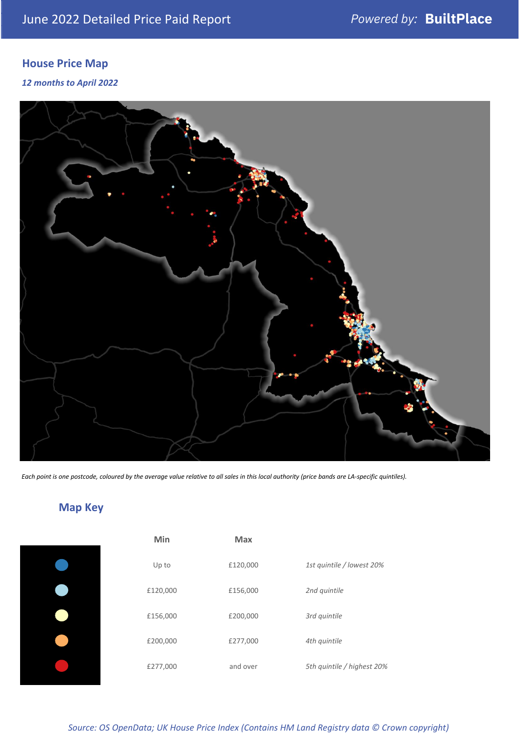## **House Price Map**

*12 months to April 2022*



*Each point is one postcode, coloured by the average value relative to all sales in this local authority (price bands are LA-specific quintiles).*

## **Map Key**

| Min      | <b>Max</b> |                            |
|----------|------------|----------------------------|
| Up to    | £120,000   | 1st quintile / lowest 20%  |
| £120,000 | £156,000   | 2nd quintile               |
| £156,000 | £200,000   | 3rd quintile               |
| £200,000 | £277,000   | 4th quintile               |
| £277,000 | and over   | 5th quintile / highest 20% |
|          |            |                            |

*Source: OS OpenData; UK House Price Index (Contains HM Land Registry data © Crown copyright)*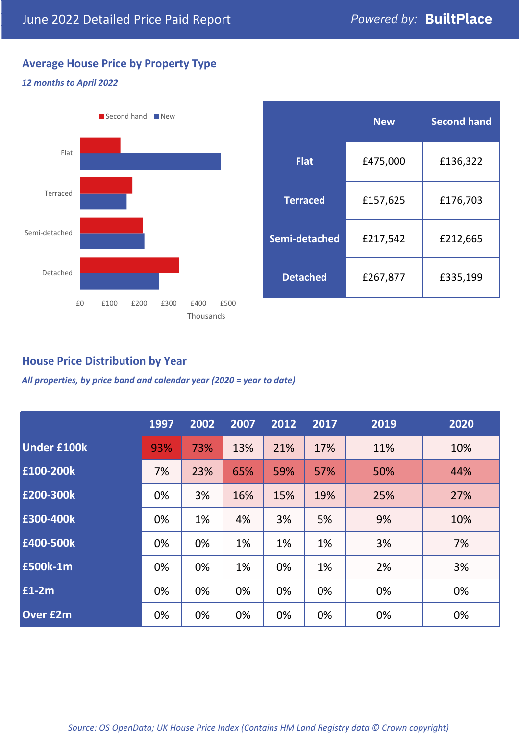## **Average House Price by Property Type**

## *12 months to April 2022*



|                 | <b>New</b> | <b>Second hand</b> |  |
|-----------------|------------|--------------------|--|
| <b>Flat</b>     | £475,000   | £136,322           |  |
| <b>Terraced</b> | £157,625   | £176,703           |  |
| Semi-detached   | £217,542   | £212,665           |  |
| <b>Detached</b> | £267,877   | £335,199           |  |

### **House Price Distribution by Year**

*All properties, by price band and calendar year (2020 = year to date)*

|                    | 1997 | 2002 | 2007 | 2012 | 2017 | 2019 | 2020 |
|--------------------|------|------|------|------|------|------|------|
| <b>Under £100k</b> | 93%  | 73%  | 13%  | 21%  | 17%  | 11%  | 10%  |
| £100-200k          | 7%   | 23%  | 65%  | 59%  | 57%  | 50%  | 44%  |
| E200-300k          | 0%   | 3%   | 16%  | 15%  | 19%  | 25%  | 27%  |
| £300-400k          | 0%   | 1%   | 4%   | 3%   | 5%   | 9%   | 10%  |
| £400-500k          | 0%   | 0%   | 1%   | 1%   | 1%   | 3%   | 7%   |
| <b>£500k-1m</b>    | 0%   | 0%   | 1%   | 0%   | 1%   | 2%   | 3%   |
| £1-2m              | 0%   | 0%   | 0%   | 0%   | 0%   | 0%   | 0%   |
| <b>Over £2m</b>    | 0%   | 0%   | 0%   | 0%   | 0%   | 0%   | 0%   |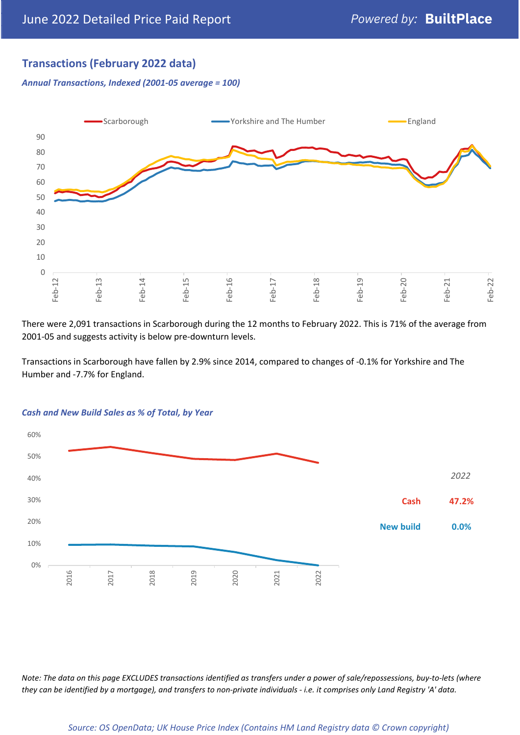## **Transactions (February 2022 data)**

*Annual Transactions, Indexed (2001-05 average = 100)*



There were 2,091 transactions in Scarborough during the 12 months to February 2022. This is 71% of the average from 2001-05 and suggests activity is below pre-downturn levels.

Transactions in Scarborough have fallen by 2.9% since 2014, compared to changes of -0.1% for Yorkshire and The Humber and -7.7% for England.



#### *Cash and New Build Sales as % of Total, by Year*

*Note: The data on this page EXCLUDES transactions identified as transfers under a power of sale/repossessions, buy-to-lets (where they can be identified by a mortgage), and transfers to non-private individuals - i.e. it comprises only Land Registry 'A' data.*